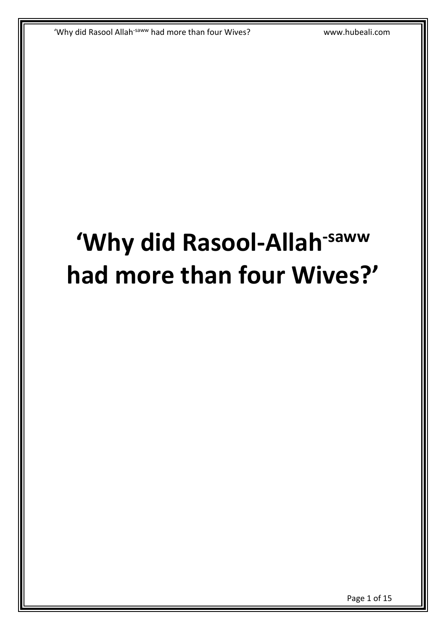# **'Why did Rasool-Allah-saww had more than four Wives?'**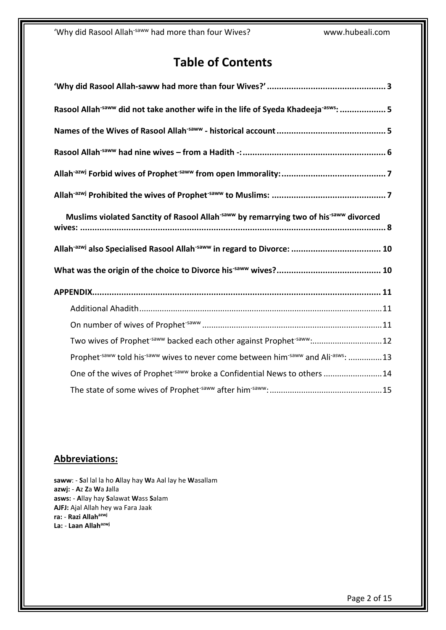# **Table of Contents**

| Rasool Allah <sup>-saww</sup> did not take another wife in the life of Syeda Khadeeja <sup>-asws</sup> :  5                       |
|-----------------------------------------------------------------------------------------------------------------------------------|
|                                                                                                                                   |
|                                                                                                                                   |
|                                                                                                                                   |
|                                                                                                                                   |
| Muslims violated Sanctity of Rasool Allah <sup>-saww</sup> by remarrying two of his <sup>-saww</sup> divorced                     |
|                                                                                                                                   |
|                                                                                                                                   |
|                                                                                                                                   |
|                                                                                                                                   |
|                                                                                                                                   |
|                                                                                                                                   |
| Two wives of Prophet <sup>-saww</sup> backed each other against Prophet <sup>-saww</sup> :12                                      |
| Prophet <sup>-saww</sup> told his <sup>-saww</sup> wives to never come between him <sup>-saww</sup> and Ali <sup>-asws</sup> : 13 |
| One of the wives of Prophet <sup>-saww</sup> broke a Confidential News to others 14                                               |

## **Abbreviations:**

**saww**: - **S**al lal la ho **A**llay hay **W**a Aal lay he **W**asallam **azwj:** - **A**z **Z**a **W**a **J**alla **asws:** - **A**llay hay **S**alawat **W**ass **S**alam **AJFJ:** Ajal Allah hey wa Fara Jaak **ra:** - **Razi Allahazwj La:** - **Laan Allahazwj**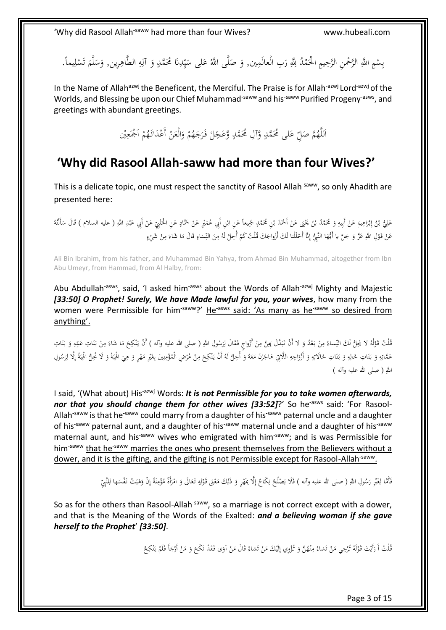بِسْمِ اللَّهِ الرَّحْمنِ الرَّحِيمِ الْحَمْدُ لِلَّهِ رَبِ الْعالَمِين, وَ صَلَّى اللَّهُ عَلى سَيِّدِنَا مُحَمَّدٍ وَ أَلِهِ الطَّاهِرِين, وَسَلَّمَ تَسْلِيماً. ْ ب ِ ا<br>ا َ َ لَ  $\ddot{\phantom{0}}$ َ ِ<br>ٍ ِ َ **ٍ** ِ ي  $\ddot{\phantom{0}}$ µ ا  $\ddot{\phantom{0}}$ َ ِ ْ ت

In the Name of Allah<sup>azwj</sup> the Beneficent, the Merciful. The Praise is for Allah<sup>-azwj</sup> Lord<sup>-azwj</sup> of the Worlds, and Blessing be upon our Chief Muhammad<sup>-saww</sup> and his<sup>-saww</sup> Purified Progeny<sup>-asws</sup>, and greetings with abundant greetings.

> ِ<br>∕∶ اَللَّهُمَّ صَلِّ عَلى مُحَمَّدٍ وَّآلِ مُحَمَّدٍ وَّعَجِّلْ فَرَجَهُمْ وَالْعَنْ أَعْدَائَهُمْ اَجْمَعِيْن .<br>∙ **ٍ** </sub>  $\frac{1}{2}$ ِ ا ْ ْ َ ْ َ .<br>ر ْ

# <span id="page-2-0"></span>**'Why did Rasool Allah-saww had more than four Wives?'**

This is a delicate topic, one must respect the sanctity of Rasool Allah<sup>-saww</sup>, so only Ahadith are presented here:

∫<br>∠ ْ عَلِيُّ بْنُ إِبْرَاهِيمَ عَنْ أَبِيهِ وَ مُحَمَّدُ بْنُ يَخَبَى عَنْ أَحْمَدَ بْنِ مُحَمَّدٍ جَمِيعاً عَنِ ابْنِ أَبِي عُمَيْرٍ عَنْ حَمَّادٍ عَنِ اخْلَيْهِيِّ عَنْ أَنْهِيَا اللَّه السلام ) قَالَ سَأَلْتُهُ **م** ْ َ ْ ب .<br>ا ْ <u>ء</u> ب َ ِ ِ ْ َ ِ َ ْ ِ إ ب ِ ُ<br>أ َ َ ٍ **ـ** َ .<br>. ∘. َ ْ عَنْ قَوْلِ اللَّهِ عَزَّ وَ جَلَّ يا أَيُّهَا النَّبِيُّ إِنَّا أَحْلَلْنا لَكَ أَزْواجَكَ قُلْتُ كَمْ أُحِلَّ لَهُ مِنَ النِّسَاءِ قَالَ مَا شَاءَ مِنْ شَيْءٍ ٔ<br>ا <u>ٔ</u> **ٔ** ِ </sub>  $\overline{\phantom{a}}$ َ ِ  $\overline{a}$ ; َ ِ <sup> $\mathfrak{c}$ </sup> لْ **ٔ** ׀<sub>֡</sub> إ َ

Ali Bin Ibrahim, from his father, and Muhammad Bin Yahya, from Ahmad Bin Muhammad, altogether from Ibn Abu Umeyr, from Hammad, from Al Halby, from:

Abu Abdullah<sup>-asws</sup>, said, 'I asked him<sup>-asws</sup> about the Words of Allah<sup>-azwj</sup> Mighty and Majestic *[33:50] O Prophet! Surely, We have Made lawful for you, your wives*, how many from the women were Permissible for him<sup>-saww</sup>?' He<sup>-asws</sup> said: 'As many as he<sup>-saww</sup> so desired from anything'.

ُفْلْتُ قَوْلُهُ لا يَحِلُّ لَكَ النِّساءُ مِنْ بَعْدُ وَ لا أَنْ تَبَدَّلَ بِمِنَّ مِنْ أَزْواجٍ فَقَالَ لِرَسُولِ اللَّهِ ( صلى الله عليه وآله ) أَنْ يَنْكِحَ مَا شَاءَ مِنْ بَنَاتِ عَقِهِ وَ بَنَاتِ<br>. َ ؚ<br>ار .<br>م ْ ِ .<br>ا ِ ِّبَ َ ٔ, **∕** ِ **ٔ** لْ .<br>أ َّ َ َ ِ ہ<br>م .<br>أ  $\ddot{\cdot}$ َ ِ َ  $\overline{a}$  $\zeta$  $\ddot{\dot{\cdot}}$ َ ِ عَمَّاتِهِ وَ بَنَاتِ حَالِهِ وَ بَنَاتِ حَالَاتِهِ وَ أَزْوَاجِهِ اللَّاتِي هَاجَرْنَ مَعَهُ وَ أُجِلَّ لَهُ أَنْ يَنْكِحَ مِنْ عُرْضِ الْمُؤْمِنِينَ بِغَيْرِ مَهْرٍ وَ هِيَ الْهِبَةُ وَ لَا تَحِلُّ الْهِبَةُ إِلَّا لِرَس ِ .<br>.<br>. ֺ<u>֡</u> ∕.  $\zeta$  $\ddot{\cdot}$ ؘ َ َ  $\overline{a}$ <u>ّ</u> َ ٔ<br>ا ِ َ َ ِ ِ َ .<br>ا <u>َ</u> ٔ. َ ِ l, َ .<br>ا <u>َ</u> َ ٍ<br>بر َّ ∕. ْ َ ِ إ  $\ddot{\cdot}$ ِ ِ َ  $\ddot{\cdot}$ ِ ِ َ ِ َ **€**  $\overline{\phantom{a}}$ ْ ِ ب اللَّهِ ( صلى الله عليه وآله )

I said, '(What about) His<sup>-azwj</sup> Words: *It is not Permissible for you to take women afterwards*, *nor that you should change them for other wives [33:52]?'* So he<sup>-asws</sup> said: 'For Rasool-Allah<sup>-saww</sup> is that he<sup>-saww</sup> could marry from a daughter of his<sup>-saww</sup> paternal uncle and a daughter of his<sup>-saww</sup> paternal aunt, and a daughter of his<sup>-saww</sup> maternal uncle and a daughter of his<sup>-saww</sup> maternal aunt, and his<sup>-saww</sup> wives who emigrated with him<sup>-saww</sup>; and is was Permissible for him<sup>-saww</sup> that he<sup>-saww</sup> marries the ones who present themselves from the Believers without a dower, and it is the gifting, and the gifting is not Permissible except for Rasool-Allah<sup>-saww</sup>.

> .<br>ا ِ فَأَمَّا لِغَيْرِ رَسُولِ اللَّهِ ( صلى الله عليه وآله ) فَلَا يَصْلُحُ نِكَاحٌ إِلَّا بِمَهْرٍ وَ ذَلِكَ مَعْنَى قَوْلِهِ تَعَالَى وَ امْرَأَةً مُؤْمِنَةً إِنْ وَهَبَتْ نَفْسَها لِلنَّبِيِّ<br>. إ ِ ن َ ْ l, َ ٍٍٍٍٍٍٍٍٍٍٍٍٍٍٍٍٍٍٍٍٍٍٍٍٍٍٍٍٍ إ <u>:</u> .<br>ا  $\ddot{\ddot{\cdot}}$ ∕. ْ َ ْ َ َ ِ ل <u>ٔ</u> .<br>ح  $\overline{a}$ ِ َ ْ J  $\ddot{\phantom{0}}$ ِ ا<br>ا َ

So as for the others than Rasool-Allah<sup>-saww</sup>, so a marriage is not correct except with a dower, and that is the Meaning of the Words of the Exalted: *and a believing woman if she gave herself to the Prophet*' *[33:50]*.

> $\overline{a}$ قُلْتُ أَ رَأَيْتَ قَوْلَهُ تُرْجِي مَنْ تَشاءُ مِنْهُنَّ وَ تُؤْوِي إِلَيْكَ مَنْ تَشاءُ قَالَ مَنْ آوَى فَقَدْ نَكَحَ وَ مَنْ أَرْجَأَ فَلَمْ يَنْكِحْ َ  $\zeta$ ْ  $\overline{\phantom{a}}$ .<br>أ ت ْ  $\overline{\phantom{a}}$ ِ ا<br>المعالم **∕** ت ْ ا<br>ا **ٔ** <u>ٰ</u> لْ  $\zeta$ َّ َ <sup>1</sup> َ َ ْ

> > Page 3 of 15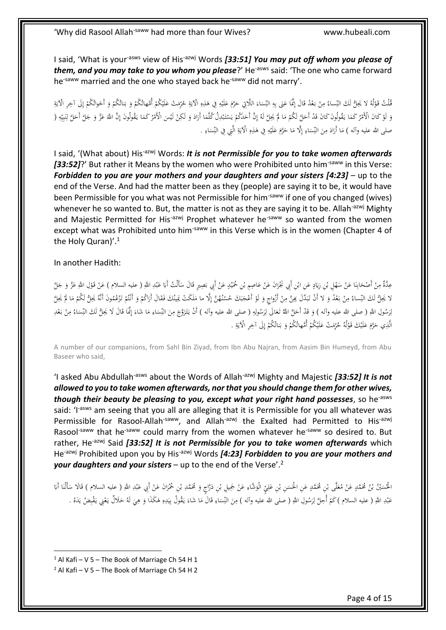I said, 'What is your<sup>-asws</sup> view of His<sup>-azwj</sup> Words *[33:51] You may put off whom you please of* them, and you may take to you whom you please?' He<sup>-asws</sup> said: 'The one who came forward he<sup>-saww</sup> married and the one who stayed back he<sup>-saww</sup> did not marry'.

قُلْتْ قَوْلُهُ لا يَحِلُّ لَكَ النِّساءُ مِنْ بَعْدُ قَالَ إِنَّمَا عَنِي بِهِ النِّسَاءَ اللَّاتِي حَرَّمَ عَلَيْهِ فِي هَذِهِ الْآيَةِ حُرِّمَتْ عَلَيْكُمْ أُمَّهاتُكُمْ وَ بَنائُكُمْ وَ أَحْواتُكُمْ إِلَى آخِرِ الْآيَ ِ **ٔ** َ اُ َ َ  $\overline{a}$ ِ ِ ِيا ب َ ن<br>ا َ ْ ِ ِ **ٔ**<br>: لْ َ ; یا<br>-ِ <u>ہ</u> ِيا<br>ا ِ إ <sup>1</sup> َ َ <sup>t</sup> َ ب َ <sup>1</sup> <sup>1</sup> **ٔ** ؘ. وَ لَوْ كَانَ الْأَمْرُ كَمَا يَقُولُونَ كَانَ قَدْ أَحَلَّ لَكُمْ مَا لَمْ يَجِلَّ لَهُ إِنَّ أَحَدَكُمْ يَسْتَبْدِلُ كُلَّمَا أَرَادَ وَ لَكِنْ لَيْسَ الْأَمْرُ كَمَا يَقُولُونَ إِنَّ اللَّهَ عَزَّ وَ جَلَّ أَحَلَّ لِنَب  $\overline{a}$ ا<br>ا **ٔ**<br>: َ َ ֺ<u>֡</u> َ ا<br>ا َ  $\overline{a}$ .<br>. ¦. .<br>أ ا<br>ا ي ْ َ ِ إ ْ ا<br>ا <sup>1</sup> <u>ہ</u> ِ ي ِ ِ .<br>أ َّ ِ َ **∫** ِ ٔ.  $\overline{a}$ ْ ا<br>ا صلى الله عليه وآله ) مَا أَرَادَ مِنَ النِّسَاءِ إِلَّا مَا حَرَّمَ عَلَيْهِ فِي هَذِهِ الْآيَةِ الَّتِي فِي النِّسَاءِ . إ ِ  $\overline{a}$ ِ َ **∕** ا<br>ا َ  $\overline{\phantom{a}}$ ِ  $\overline{a}$ ِ ; يا<br>-ِ ِ **ٔ** َ َ َ

I said, '(What about) His<sup>-azwj</sup> Words: *It is not Permissible for you to take women afterwards* **[33:52]?'** But rather it Means by the women who were Prohibited unto him<sup>-saww</sup> in this Verse: *Forbidden to you are your mothers and your daughters and your sisters [4:23]* – up to the end of the Verse. And had the matter been as they (people) are saying it to be, it would have been Permissible for you what was not Permissible for him<sup>-saww</sup> if one of you changed (wives) whenever he so wanted to. But, the matter is not as they are saying it to be. Allah<sup>-azwj</sup> Mighty and Majestic Permitted for His<sup>-azwj</sup> Prophet whatever he<sup>-saww</sup> so wanted from the women except what was Prohibited unto him<sup>-saww</sup> in this Verse which is in the women (Chapter 4 of the Holy Quran)'.<sup>1</sup>

In another Hadith:

َ عِدَّةٌ مِنْ أَصْحَابِنَا عَنْ سَهْلِ بْنِ زِيَادٍ عَنِ ابْنِ أَبِي نَجْرَانَ عَنْ عَاصِمٍ بْنِ حُمَيْدٍ عَنْ أَبِي بَصِيرٍ قَالَ سَأَلْتُ أَبَا عَبْدِ اللَّهِ ( عليه السلام ) عَنْ قَوْلِ اللَّهِ عَزَّ وَ جَلَّ َ ْ **ٔ** ي ْ َ ْ ا ر<br>. ْ َ **∶** َ ْ ْ  $\overline{\phantom{a}}$ :<br>ا <u>َ</u> :<br>با َ ْ ∫, با<br>ا **ै ٔ** َ <u>ٔ</u> ֺ<u>֡</u> لا يَحِلُّ لَكَ النِّساءُ مِنْ بَعْدُ وَ لا أَنْ تَبَدَّلَ بِحِنَّ مِنْ أَزْواجٍ وَ لَوْ أَعْجَبَكَ حُسْنُهُنَّ إِلَّا ما مَلَكَتْ يَمِينُكَ فَقَالَ أَرَاكُمْ وَ أَنْتُمْ تَزْعُمُونَ أَنَّهُ يَحِلُّ لَكُمْ مَا لَمْ يَحِلَّ  $\overline{\phantom{a}}$ **ـ** ِ َ <u>ٔ</u> َ ْ **∕** ا<br>ا ِ َ َ َ ∫<br>∕ :<br>نا َ .<br>أ ٍ<br>ب **ٔ b** َ <sup>t</sup> ْ ُ ْ <sup>t</sup>  $\zeta$ َ<br>رَسُولِ اللَّهِ ( صلى الله عليه وآله ) وَ قَدْ أَحَلَّ اللَّهُ تَعَالَى لِرَسُولِهِ ( صلى الله عليه وآله ) أَنْ يَتَزَوَّجَ مِنَ النِّسَاءِ مَا شَاءَ إِنَّمَا أَلا كَ النِّسَاءُ مِنْ بَعْدِ َ ٔ<br>ا ٍ<br>ا ِ l, َ ا<br>با َ َ ٔ ا<br>بر ل :<br>; .<br>ا **∕**  $\ddot{\phantom{0}}$ .<br>ا ِ  $\ddot{\phantom{0}}$ ; َ إ َ  $\overline{\phantom{a}}$ ِ  $\ddot{\phantom{0}}$ ا<br>ا َالَّذِي حَرَّمَ عَلَيْكَ قَوْلُهُ حُرِّمَتْ عَلَيْكُمْ أُمَّهاتُكُمْ وَ بَناتُكُمْ إِلَى آخِرِ الْآيَةِ . ْ َ َ َ ِ ِيا<br>أ ِ إ <sup>1</sup> َ ب َ <sup>1</sup> ْ **ٔ** َ

A number of our companions, from Sahl Bin Ziyad, from Ibn Abu Najran, from Aasim Bin Humeyd, from Abu Baseer who said,

'I asked Abu Abdullah-asws about the Words of Allah-azwj Mighty and Majestic *[33:52] It is not allowed to you to take women afterwards, nor that you should change them for other wives, though their beauty be pleasing to you, except what your right hand possesses*, so he-asws said: 'I<sup>-asws</sup> am seeing that you all are alleging that it is Permissible for you all whatever was Permissible for Rasool-Allah<sup>-saww</sup>, and Allah<sup>-azwj</sup> the Exalted had Permitted to His<sup>-azwj</sup> Rasool<sup>-saww</sup> that he<sup>-saww</sup> could marry from the women whatever he<sup>-saww</sup> so desired to. But rather, He<sup>-azwj</sup> Said [33:52] It is not Permissible for you to take women afterwards which He-azwj Prohibited upon you by His-azwj Words *[4:23] Forbidden to you are your mothers and your daughters and your sisters* – up to the end of the Verse'.<sup>2</sup>

َ الْحُسَيْنُ بْنُ مُحَمَّدٍ عَنْ مُعَلَّى بْنِ مُحَمَّدٍ عَنِ الْحَسَنِ بْنِ عَلِيِّ الْوَشَاءِ عَنْ جَمِيلِ بْنِ دَرَّاجٍ وَ مُحَمَّدِ بْنِ حُمْرَانَ عَنْ أَبِي عَبْدِ اللَّهِ ( عليه السلام ) قَالَا سَأَلْنَا أَبَا<br>. ْ ِ َ ِ َ ْ  $\overline{a}$ َ ْ َ ْ َ ا َ ْ ب .<br>أ **ـ** َ .<br>. ; َ ֺ<u>֡</u> عَبْدِ اللَّهِ ( عليه السلام )كُمْ أُحِلَّ لِرَسُولِ اللَّهِ ( صلى الله عليه وآله ) مِنَ النِّسَاءِ قَالَ مَا شَاءَ يَقُولُ بِيَدِهِ هَكَذَا وَ هِيَ لَهُ حَلَالٌ يَعْنِي يَقْبِضُ يَدَهُ . ْ .<br>. ِ َ با<br>ا َ َ ِ َ **م** ِ **ٔ** ي ِ ٔ. َ  $\overline{a}$ .<br>أ ِ  $\overline{a}$ ِ َ ∕. َ ا<br>با ل ْ ٍ<br>ا ب<br>: **ٍ** ِ <u>:</u> َ

 $1$  Al Kafi – V 5 – The Book of Marriage Ch 54 H 1

 $2$  Al Kafi – V 5 – The Book of Marriage Ch 54 H 2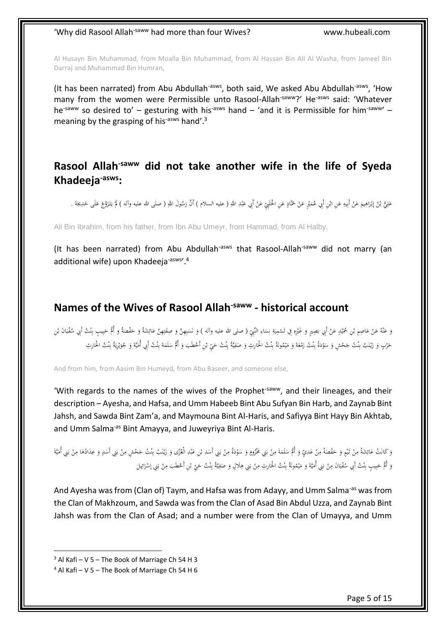Al Husayn Bin Muhammad, from Moalla Bin Muhammad, from Al Hassan Bin Ali Al Washa, from Jameel Bin Darraj and Muhammad Bin Humran,

(It has been narrated) from Abu Abdullah<sup>-asws</sup>, both said, We asked Abu Abdullah<sup>-asws</sup>, 'How many from the women were Permissible unto Rasool-Allah<sup>-saww</sup>?' He<sup>-asws</sup> said: 'Whatever he<sup>-saww</sup> so desired to' – gesturing with his<sup>-asws</sup> hand – 'and it is Permissible for him<sup>-saww</sup>' – meaning by the grasping of his<sup>-asws</sup> hand'.<sup>3</sup>

#### <span id="page-4-0"></span>**Rasool Allah-saww did not take another wife in the life of Syeda Khadeeja-asws:**

َ عَلِيُّ بْنُ إِبْرَاهِيمَ عَنْ أَبِيهِ عَنِ ابْنِ أَبِي عُمَيْرٍ عَنْ حَمَّادٍ عَنِ الْحَلَمِيِّ عَنْ أَبِي عَبْدِ اللَّهِ ( عليه السلام ) أَنَّ رَسُولَ اللَّهِ ( صلى الله عليه وآله ) لَمَ يَتَزَوَّجْ عَلَى خَدِيجَةَ . َ<br>ا َ **∶** ْ َ ْ َ ِ ِ ْ ا ِ َ **ٔ** ׀<sub>֡</sub> إ ب ُ<br>ن **ٔ** ¦∙ َ ْ <u>:</u> َ َ َ <u>ّ</u> َ <u>ً</u> َ **أ** 

Ali Bin Ibrahim, from his father, from Ibn Abu Umeyr, from Hammad, from Al Halby,

(It has been narrated) from Abu Abdullah-asws that Rasool-Allah-saww did not marry (an additional wife) upon Khadeeja<sup>-asws</sup>'.<sup>4</sup>

#### <span id="page-4-1"></span>**Names of the Wives of Rasool Allah-saww - historical account**

ٔ. وَ عَنْهُ عَنْ عَاصِمِ بْنِ مُحَيْدٍ عَنْ أَبِي بَصِيرٍ وَ غَيْرِهِ فِي تَسْمِيَةِ نِسَاءِ النَّبِيِّ ( صلى الله عليه وآله ) وَ نَسَيهِنَّ وَ صِفْتِهِنَّ عَائِشَةُ وَ حَفْصَةُ وَ أُمُّ حَبِيبٍ بِنْتُ أَبِي سُفْيَانَ بْنِ ِ  $\overline{a}$ ِ ن ; َ ي **ٔ** ِ ِ ْ َ َ ْ .<br>. ي ْ َ ْ َّ َ ِ<br>ب ُ ُ<br>أ َ ِ  $\ddot{\phantom{0}}$ ن َ **ٔ**  $\ddot{\phantom{0}}$ ي .<br>أ <u>:</u> ة<br>أ ِ ِ ِ َ َ  $\overline{\phantom{a}}$ َ ِ<br>بُ َ حَرْبٍ وَ زَيْنَبُ بِنْتُ جَحْشٍ وَ سَوْدَةُ بِنْتُ زَفعَةً وَ مَيْمُونَةُ بِنْتُ الْحَارِثِ وَ صَفِيَّةً بِنْتُ حَيِّ بْنِ أَحْطَبَ وَ أُمُّ سَلَمَةَ بِنْتُ أَبِي أُمَيَّةً وَ جُوَيْرِيَةُ بِنْتُ الْحَارِثِ **ٔ** <u>:</u> َّ ِ ب ي ِ  $\ddot{\phantom{0}}$ ٔ <u>:</u> َّ į ب .<br>. ي َ </sub> َ ،<br>ا َ <u>:</u> َّ ِ ب َ <u>ٔ</u>  $\overline{\phantom{a}}$ ٔ. <u>ٔ</u> <u>:</u> َّ ِ ب <u>َّ</u> **ٔ** ֺ֧֦֧֦֧֦֧֦֧֦֦֧֦֧֦֝֟֓֡֟׆<br>֩ ٔ. <u>ّ</u> َ َ َ ِ ب <u>:</u>  $\overline{a}$ ٔ<br>ا **:** َّ ِ ب با **ٔ** ي َ ي  $\overline{\phantom{a}}$ **:** َّ

And from him, from Aasim Bin Humeyd, from Abu Baseer, and someone else,

'With regards to the names of the wives of the Prophet<sup>-saww</sup>, and their lineages, and their description – Ayesha, and Hafsa, and Umm Habeeb Bint Abu Sufyan Bin Harb, and Zaynab Bint Jahsh, and Sawda Bint Zam'a, and Maymouna Bint Al-Haris, and Safiyya Bint Hayy Bin Akhtab, and Umm Salma<sup>-as</sup> Bint Amayya, and Juweyriya Bint Al-Haris.

وَ كَانَتْ عَائِشَةً مِنْ تَيْمٍ وَ حَفْصَةً مِنْ عَدِيٍّ وَ أُمُّ سَلَمَةَ مِنْ بَنِي مُخْزُومٍ وَ سَوْدَةُ مِنْ بَنِي أُسَدِ بْنِ عَبْدِ الْعُزَى وَ زَيْنَبُ بِنَثْ جَحْشٍ مِنْ بَنِي أَسَدٍ وَ عِدَادُهَا مِنْ بَنِي أُمَي  $\ddot{\phantom{0}}$ ا<br>ا ب ْ **∕** َ <u>ٔ</u> ٔ. َ ٍ ا<br>ا ب ْ ∫, َ  $\ddot{\phantom{0}}$ </sub> ْ ِ  $\overline{\phantom{a}}$ َ ْ ي َ ْ ∫<br>∕ ٍ<br>ئ ا<br>أ ٔ. َ <u>:</u> َّ ِ ب ∶ُ **ٔ** َ َ **ٔ ∶** َ **ٔ** ب <u>ة</u> ي  $\overline{\phantom{a}}$ ا<br>أ ب **: ∕** َ .<br>ا َ ٔ. ا<br>ا ب ْ **∕** ْ ِ ِ َ وَ أُمُّ حَبِيبٍ بِنْتُ أَبِي سُفْيَانَ مِنْ بَنِي أُمَيَّةَ وَ مَيْمُونَةُ بِنْتُ الْحَارِثِ مِنْ بَنِي هِلَالٍ وَ صَفِيَّةُ بِنْتُ حَيِّ بْنِ أَحْطَبَ مِنْ بَنِي إِسْرَائِيلَ<br>وَ أُمُّ حَبِيبٍ بِنْتُ أَبِي سُفْيَانَ مِنْ ٔ.<br>. .<br>. َّ ؚ<br>پا ب ي ِ  $\overline{a}$ ِ اب<br>أ ب ْ ِ َ<br>ا .<br>. َّ ِ ب **ٔ** ي َ ٔ.<br>. ي َ ؘ<br>֧ ب ْ ِ .<br>. ي .<br>أ .<br>. َّ ِ ِ َ ْ ب ٍ<sup>ا</sup> ِ<br>ئى َ **ٔ** ا<br>ا ب ْ

And Ayesha was from (Clan of) Taym, and Hafsa was from Adayy, and Umm Salma<sup>-as</sup> was from the Clan of Makhzoum, and Sawda was from the Clan of Asad Bin Abdul Uzza, and Zaynab Bint Jahsh was from the Clan of Asad; and a number were from the Clan of Umayya, and Umm

 $3$  Al Kafi – V 5 – The Book of Marriage Ch 54 H 3

 $4$  Al Kafi – V 5 – The Book of Marriage Ch 54 H 6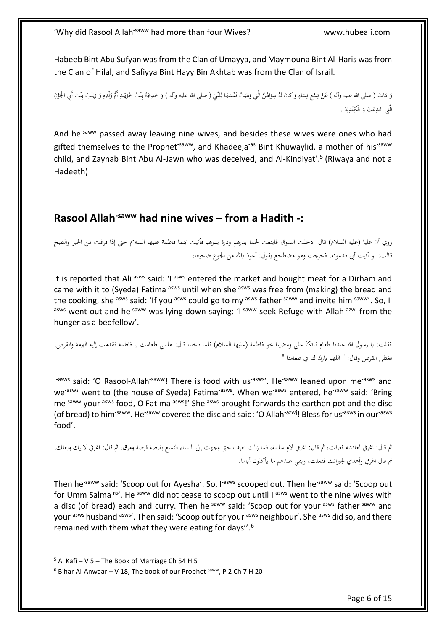Habeeb Bint Abu Sufyan was from the Clan of Umayya, and Maymouna Bint Al-Haris was from the Clan of Hilal, and Safiyya Bint Hayy Bin Akhtab was from the Clan of Israil.

وَ مَاتَ ( صلى الله عليه وآله ) عَنْ تِسْعِ نِسَاءٍ وَ كَانَ لَهُ سِوَاهُنَّ الَّتِي وَهَبَتْ نَفْسَهَا لِلنَّبِيِّ ( صلى الله عليه وآله ) وَ خَدِيجَةُ بِنْتُ حُوَيْلِدٍ أُمُّ وُلْدِهِ وَ زَيْنَبُ بِنْتُ أَبِي الْجُوْنِ ِ َ  $\overline{a}$ ِ ٔ َ َ َ ٍ  $\overline{a}$ ِ ֡֡**֡** ∫. ت ْ ا<br>ا ٔ. َ َ ِ ْ ي َ <u>:</u> َّ ِّ. ب <u>ٔ</u> َ <u>:</u>  $\ddot{\dot{\cdot}}$ ِ ب ∶ُ ْ َ ِ الَّتِي حُدِعَتْ وَ الْكِنْدِيَّةُ . ي َّ **ٔ** 

And he<sup>-saww</sup> passed away leaving nine wives, and besides these wives were ones who had gifted themselves to the Prophet<sup>-saww</sup>, and Khadeeja<sup>-as</sup> Bint Khuwaylid, a mother of his<sup>-saww</sup> child, and Zaynab Bint Abu Al-Jawn who was deceived, and Al-Kindiyat'.<sup>5</sup> (Riwaya and not a Hadeeth)

### <span id="page-5-0"></span>**Rasool Allah-saww had nine wives – from a Hadith -:**

رِوِي أن عليا (عليهِ السلام)ِ قال: دخلتِ السوقِ فابتعتِ لحما بدرهمِ وذرةِ بدرهمِ فأتيتِ بمما فاطمةِ عليهاِ السلامِ حتى إذا فرغت من الخبزِ والطبخِ قالت: لو أتيت أبي فدعوته، فخرجت وهو مضطجع يقول: أعوذ بالله من الجوعِ ضجيعا،

It is reported that Ali<sup>-asws</sup> said: 'I<sup>-asws</sup> entered the market and bought meat for a Dirham and came with it to (Syeda) Fatima<sup>-asws</sup> until when she<sup>-asws</sup> was free from (making) the bread and the cooking, she<sup>-asws</sup> said: 'If you<sup>-asws</sup> could go to my<sup>-asws</sup> father<sup>-saww</sup> and invite him<sup>-saww</sup>'. So, I<sup>-</sup> asws went out and he<sup>-saww</sup> was lying down saying: 'I<sup>-saww</sup> seek Refuge with Allah<sup>-azwj</sup> from the hunger as a bedfellow'.

فقلت: يا رسولِ الله عندنا طعام فاتكأ على ومضينا نحو فاطمة (عليها السلام) فلما دخلنا قال: هلمي طعامك يا فاطمة فقدمت إليه البرمة والقرص، فغطىِ القرصِ وقالِ: " اللهمِ باركِ لنا في طعامنا "

I<sup>-asws</sup> said: 'O Rasool-Allah<sup>-saww</sup>! There is food with us<sup>-asws</sup>'. He<sup>-saww</sup> leaned upon me<sup>-asws</sup> and we<sup>-asws</sup> went to (the house of Syeda) Fatima<sup>-asws</sup>. When we<sup>-asws</sup> entered, he<sup>-saww</sup> said: 'Bring me<sup>-saww</sup> your<sup>-asws</sup> food, O Fatima<sup>-asws</sup>!' She<sup>-asws</sup> brought forwards the earthen pot and the disc (of bread) to him<sup>-saww</sup>. He<sup>-saww</sup> covered the disc and said: 'O Allah<sup>-azwj</sup>! Bless for us<sup>-asws</sup> in our<sup>-asws</sup> food'.

ثُم قال: اغرِفِي لعائشةِ فغرفتِ، ثم قال: اغرِفِي لام سلمةِ، فما زالت تغرف حتى وجهت إلى النساءِ التسعِ بقرصةِ قرصةٍ ومرق، ثم قال: اغرِفِي لابيك وبعلكِ، ثُم قال اغرِفِي وأهدي لجيرانك ففعلت، وبقي عندهمِ ما يأكلون أياما.

Then he<sup>-saww</sup> said: 'Scoop out for Ayesha'. So, I<sup>-asws</sup> scooped out. Then he<sup>-saww</sup> said: 'Scoop out for Umm Salma<sup>-ra</sup>'. He<sup>-saww</sup> did not cease to scoop out until I<sup>-asws</sup> went to the nine wives with a disc (of bread) each and curry. Then he<sup>-saww</sup> said: 'Scoop out for your<sup>-asws</sup> father<sup>-saww</sup> and your<sup>-asws</sup> husband<sup>-asws</sup>'. Then said: 'Scoop out for your<sup>-asws</sup> neighbour'. She<sup>-asws</sup> did so, and there remained with them what they were eating for days''.<sup>6</sup>

 $5$  Al Kafi – V 5 – The Book of Marriage Ch 54 H 5

 $6$  Bihar Al-Anwaar – V 18, The book of our Prophet<sup>-saww</sup>, P 2 Ch 7 H 20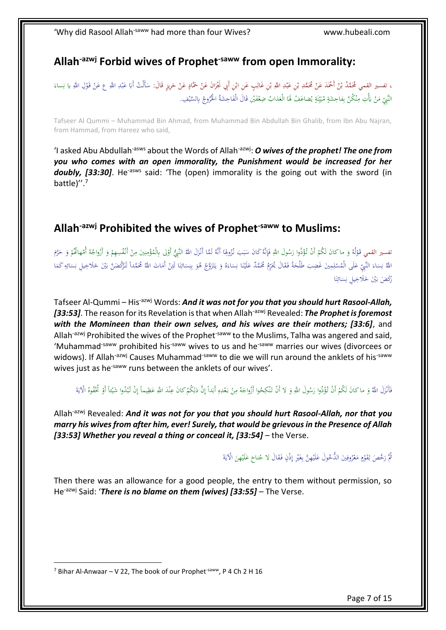### <span id="page-6-0"></span>**Allah-azwj Forbid wives of Prophet-saww from open Immorality:**

، تفسير القمي مُحَمَّدُ بْنُ أَحْمَدَ عَنْ مُحَمَّدِ بْنِ عَبْدِ اللَّهِ بْنِ غَالِبٍ عَنِ ابْنِ أَبِي نَجْرَانَ عَنْ حَمَّادٍ عَنْ حَرِيزٍ قَالَ: سَأَلْتُ أَبَا عَبْدِ اللَّهِ عَنْ قَوْلِ اللَّهِ يا نِساءَ<br>ويقيد القمي .<br>; ا َ ْ َ Į ْ ب .<br>أ ِ َ ْ ب ب ٔ<br>ا َ َ **ٔ** .<br>أ ِ َ َ ٔ<br>ا ا<br>ا ِ النَّبِيِّ مَنْ يَأْتِ مِنْكُنَّ بِفاحِشَةٍ مُبَيِّنَةٍ يُضاعَفْ لَهَا الْعَذابُ ضِعْفَيْنِ قَالَ الْفَاحِشَةُ الْخُرُوجُ بِالسَّيْفِ. ا<br>ا َ ـا<br>ا ي **z** َ ∶ُ į ي ا<br>ا į. *<u>2</u>* ِ <u>َّ</u> ِ ֡**֓** َ ْ َ .<br>. َ <u>ز</u>

Tafseer Al Qummi – Muhammad Bin Ahmad, from Muhammad Bin Abdullah Bin Ghalib, from Ibn Abu Najran, from Hammad, from Hareez who said,

'I asked Abu Abdullah-asws about the Words of Allah-azwj: *O wives of the prophet! The one from you who comes with an open immorality, the Punishment would be increased for her*  **doubly, [33:30]**. He<sup>-asws</sup> said: 'The (open) immorality is the going out with the sword (in battle)''.<sup>7</sup>

#### <span id="page-6-1"></span>**Allah-azwj Prohibited the wives of Prophet-saww to Muslims:**

نفسير القمي قَوْلُهُ وَ ماكانَ لَكُمْ أَنْ تُؤْدُوا رَسُولَ اللَّهِ فَإِنَّهُ كَانَ سَبَبَ نُزُولِهَا أَنَّهُ لَمَّا أَنْزَلَ اللَّهُ النَّبِيُّ أَوْلِ بِالْمُؤْمِنِينَ مِنْ أَنْفُسِهِمْ وَ أَزْواجُهُ أُمَّهاكُمْ وَ حَرَّم <u>ا</u> ُ<br>ا <sup> $\mathfrak g$ </sup> َ َ َ  $\frac{1}{2}$ َ ِ ا<br>ا ِ ا<br>أ <u>ٔ</u> <sup>t</sup> َ **أ** ْ ِ ِ. َّ ِ ْ م َ اللَّهُ نِسَاءَ النَّبِيِّ عَلَى الْمُسْلِمِينَ غَضِبَ طَلْحَةُ فَقَالَ يُحَرِّمُ مُحَمَّدٌ عَلَيْنَا نِسَاءَهُ وَ يَتَزَوَّجُ هُوَ بِنِسَائِنَا لَئِنْ أَمَاتَ اللَّهُ مُحَمَّدًا مَنْ تَالَيْنَا نِسَائِهِ كَمَا َ ĩ í َ َ َ ٔ<br>ا ِ ا<br>أ َّ .<br>: َ َ َ َ َ ِ ا<br>ا َ ا<br>ا  $\overline{a}$ ِ ن َ ∫<br>أ į, ٔ<br>ا ∫, َّ ِ ب َ ام<br>ا ْ ∫<br>}  $\overline{a}$ ِ ِ </sub> ِ َ <u>ّز</u> ً رَكَضَ بَيْنَ خَلَاخِيلِ نِسَائِنَ<mark>ا</mark> ٔ<br>ا <u>َّ</u> ِ ٔ<br>ا ِ َ َ

Tafseer Al-Qummi – His-azwj Words: *And it was not for you that you should hurt Rasool-Allah, [33:53]*. The reason for its Revelation is that when Allah-azwj Revealed: *The Prophet is foremost with the Momineen than their own selves, and his wives are their mothers; [33:6]*, and Allah<sup>-azwj</sup> Prohibited the wives of the Prophet<sup>-saww</sup> to the Muslims, Talha was angered and said, 'Muhammad-saww prohibited his-saww wives to us and he-saww marries our wives (divorcees or widows). If Allah<sup>-azwj</sup> Causes Muhammad<sup>-saww</sup> to die we will run around the anklets of his<sup>-saww</sup> wives just as he<sup>-saww</sup> runs between the anklets of our wives'.

فَأَنْزَلَ اللَّهُ وَ ما كانَ لَكُمْ أَنْ تُؤْدُوا رَسُولَ اللَّهِ وَ لا أَنْ تَنْكِحُوا أَزْواجَهُ مِنْ بَعْدِهِ أَبَداً إِنَّ ذَلِكُمْ كانَ عِنْدَ اللَّهِ عَظِيماً إِنْ تُبْدُوا شَيْئاً أَوْ تُخْفُوهُ الْآيَةَ َ َ <u>ا</u> <sup>(</sup> ا<br>ا ِ إ  $\overline{a}$ ٔ<br>ا ة<br>أ **أ** ∫<br>U ِ إ ً َ ِ َ ْ **∕** َ َّ ِّ </sub> <u>َ</u> **ٔ** ا<br>ا **ٔ ٔ** ِ ة<br>أ ِيا<br>ا

Allah-azwj Revealed: *And it was not for you that you should hurt Rasool-Allah, nor that you marry his wives from after him, ever! Surely, that would be grievous in the Presence of Allah [33:53] Whether you reveal a thing or conceal it, [33:54]* – the Verse.

> مُّ رَخَّصَ لِقَوْمٍ مَعْرُوفِينَ الدُّحُولَ عَلَيْهِنَّ بِغَيْرٍ إِذْنٍ فَقَالَ لا جُناحَ عَلَيْهِنَ الْآيَةَ َ ِ إ ∫<br>⊌ ْ ِ .<br>. </sub> ِ **ٔ** ا<br>ا **ٍ ال ∶** <u>َ</u>ّ َ **ٔ** </sub> َ <u>ة</u> ِيا<br>ِ

Then there was an allowance for a good people, the entry to them without permission, so He<sup>-azwj</sup> Said: '*There is no blame on them (wives) [33:55]* – The Verse.

 $7$  Bihar Al-Anwaar – V 22, The book of our Prophet<sup>-saww</sup>, P 4 Ch 2 H 16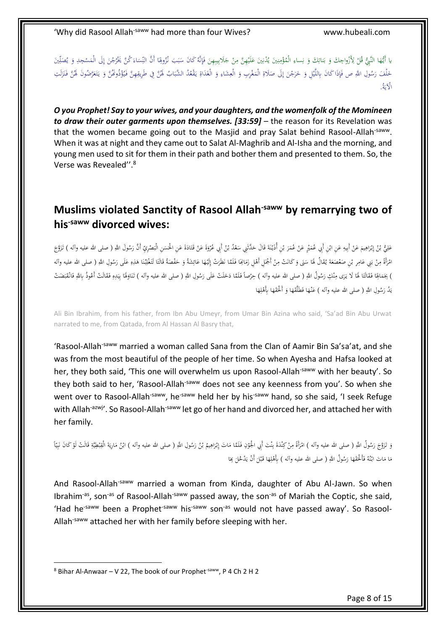ِ يا أَيُّهَا النَّبِيُّ قُلْ لِأَزْواجِكَ وَ بَسَاتِكَ وَ نِساءِ الْمُؤْمِنِينَ يُدْنِينَ عَلَيْهِنَّ مِنْ جَلَابِيبِهِنَ فَإِنَّهُ كَانَ سَبَبَ نُزُولِهَا أَنَّ النِّسَاءَ كُنَّ يَخْرُجْنَ إِلَى الْمَسْجِدِ وَ يُصَلِّينَ ِ ن ا<br>ا ِ َ ب َ **ٔ** َ ِ َ **∕ ٔ** َ ِ<br>پا ∫<br>} ِّ ∫<br>∕ <u>ا</u> ا ِ ِ ا<br>ا ِ َ ِ ا<br>ا ي َ ِ إ <u>َ</u> ا<br>ا </sub> ِ خَلْفَ رَسُولِ اللَّهِ ص فَإِذَا كَانَ بِاللَّيْلِ وَ حَرَجْنَ إِلَى صَلَاةِ الْمَغْرِبِ وَ الْعِشَاءِ وَ الْغَدَاةِ يَقْعُدُ الشَّبَابُ لَهُنَّ فِي طَرِيقِهِنَّ فَيُؤْذُونَفَّنَّ وَ يَتَعَرَّضُونَ لَهُنَّ فَنَزَلَتِ ِ َ .<br>أ َ ِ ا<br>ا ِ إ َ ِّ َ .<br>. ي ِ ني<br>أ َ لْ َ ِ ا<br>ا ٔ. ِ ً<br>ا َ ِ لَ َ ∶ُ َ َ ِ<br>أ í پٍ<br>∶ َ ي َ الْآيَةُ.<br>ا َ

*O you Prophet! Say to your wives, and your daughters, and the womenfolk of the Momineen to draw their outer garments upon themselves. [33:59]* – the reason for its Revelation was that the women became going out to the Masjid and pray Salat behind Rasool-Allah<sup>-saww</sup>. When it was at night and they came out to Salat Al-Maghrib and Al-Isha and the morning, and young men used to sit for them in their path and bother them and presented to them. So, the Verse was Revealed''.<sup>8</sup>

### <span id="page-7-0"></span>**Muslims violated Sanctity of Rasool Allah-saww by remarrying two of his-saww divorced wives:**

َ عَلِيُّ بْنُ إِبْرَاهِيمَ عَنْ أَبِيهِ عَنِ إِبِي عُمَيْرٍ عَنْ عُمَرَ بْنِ أُذَيْنَةَ قَالَ حَدَّثَنِي سَعْدُ بْنُ أَبِي عُنْوَةَ عَنْ عَمَرَ بْنِ أُذَيْنَةَ قَالَ حَدَّثَنِي سَعْدُ بْنُ أَبِي عُثْرَتِي سَعْدُ بْنَ أُوَيْ ب **ـ** َ َ :<br>أ ُ<br>نا <u>َّ</u> **ٔ ٔ** ب .<br>ن َ ْ ْ َ ْ َ ِ ِ ْ ا ِ َ ْ ׀<sub>֡</sub> إ ب ِ  $\ddot{\phantom{0}}$ َ َ <u>:</u> **أَنَّ** َ َ .<br>. ੍ َ ً<br>ن امْرَأةً مِنْ بَنِي عَامِرِ بْنِ صَعْصَعَةَ يُقَالُ لَهَا سَنَى وَ كَانَتْ مِنْ أَجْمَلِ أَهْلِ زَمَانِحَا فَلَمَّا نَظَرَتْ إِلَيْهَا عَائِشَةً إِلَيْهَا فَلَمَّا الْفَلْعِ وَالْكَا فَلَمَّا نَظْرَتْ إِلَيْهَا عَائِشَةً و َ ب ْ ِ َ .<br>ا ِ<br>ئ َ َ .<br>. َ َ ا َ َ <u>ٔ</u> ْ ِ َ <u>ٰ</u> ۱, .<br>أ َ َ  $\ddot{\phantom{0}}$  $\overline{\phantom{a}}$ ْ ِ َ َ  $\overline{a}$ َ ً<br>ل َ ِ ٔ .<br>ا </sub>: ِ ْ <u>ً</u> <u>:</u> َّ ∫<br>∕ ) بِجَمَالِهَا فَقَالَتَا لَهَا لَا يَرَى مِنْكِ رَسُولُ اللَّهِ ( صلى الله عليه وآله ) حِرْصاً فَلَمَّا دَخَلَتْ عَلَى رَسُولِ اللَّهِ ( صلى الله عليه وآله ) تَنَاوَلَهَا بِيَدِهِ فَقَالَتْ أَعُوذُ بِاللَّهِ فَانْقَبَضَتْ َ ۱. َ .<br>أ ا<br>م ا<br>ا ٔ<br>ا ِ ـا<br>ا َ ٔ. <u>َّ</u> َ .<br>ا َ َ ٔ<br>ا <u>َ</u>ّ  $\ddot{\cdot}$ .<br>م .<br>م **ٔ** ي بَدُ رَسُولِ اللَّهِ ( صلى الله عليه وآله ) عَنْـهَا فَطَلَّقْهَا وَ أَلْحَقْهَا بِأَهْلِهَا َ ،<br>ا َ َ َ َ <u>َ</u>ّ َ َ ِ <u>ٔ</u>

Ali Bin Ibrahim, from his father, from Ibn Abu Umeyr, from Umar Bin Azina who said, 'Sa'ad Bin Abu Urwat narrated to me, from Qatada, from Al Hassan Al Basry that,

'Rasool-Allah-saww married a woman called Sana from the Clan of Aamir Bin Sa'sa'at, and she was from the most beautiful of the people of her time. So when Ayesha and Hafsa looked at her, they both said, 'This one will overwhelm us upon Rasool-Allah<sup>-saww</sup> with her beauty'. So they both said to her, 'Rasool-Allah<sup>-saww</sup> does not see any keenness from you'. So when she went over to Rasool-Allah<sup>-saww</sup>, he<sup>-saww</sup> held her by his<sup>-saww</sup> hand, so she said, 'I seek Refuge with Allah<sup>-azwj</sup>'. So Rasool-Allah<sup>-saww</sup> let go of her hand and divorced her, and attached her with her family.

وَ تَزَوَّجَ رَسُولُ اللَّهِ ( صلى الله عليه وآله ) امْرَأةً مِنْ كِنْدَةَ بِنْتَ أَبِي الْجَوْنِ فَلَمَّا مَاتَ إِبْرَاهِيمْ بْنُ رَسُولِ اللَّهِ ( صلى الله عليه وآله ) ابْنُ مَارِيَةَ الْقِبْطِيَّةِ قَالَتْ لَوْ كَانَ نَ <u>َ</u>ّ  $\zeta$ َ ٔ. ُ<br>ن ب ِ َ .<br>ا ِ ا<br>ا .<br>أ <u>ٔ</u> َ <u>:</u> َّ ؚ<br>پا ب <u>:</u> **ـ** َّ ∫<br>∕ َ .<br>ا  $\overline{a}$ ي ِ ِ ن<br>: ْ َ <u>بة</u> ي ; ِ <u>ة</u> یا<br>ا  $\overline{\phantom{a}}$ مَا مَاتَ ابْنُهُ فَأَلْحَقَهَا رَسُولُ اللَّهِ ( صلى الله عليه وآله ) بِأَهْلِهَا قَبْلَ أَنْ يَدْحُلَ بِحَا <u>َ</u>ّ َ َ ِ<br>نا َّ .<br>ا ا<br>ا ا<br>ا ا ٍ<sup>ّ</sup> َ َ ¦∙ َ ِ ا<br>أ

And Rasool-Allah<sup>-saww</sup> married a woman from Kinda, daughter of Abu Al-Jawn. So when Ibrahim<sup>-as</sup>, son<sup>-as</sup> of Rasool-Allah<sup>-saww</sup> passed away, the son<sup>-as</sup> of Mariah the Coptic, she said, 'Had he<sup>-saww</sup> been a Prophet<sup>-saww</sup> his<sup>-saww</sup> son<sup>-as</sup> would not have passed away'. So Rasool-Allah<sup>-saww</sup> attached her with her family before sleeping with her.

 $8$  Bihar Al-Anwaar – V 22, The book of our Prophet<sup>-saww</sup>, P 4 Ch 2 H 2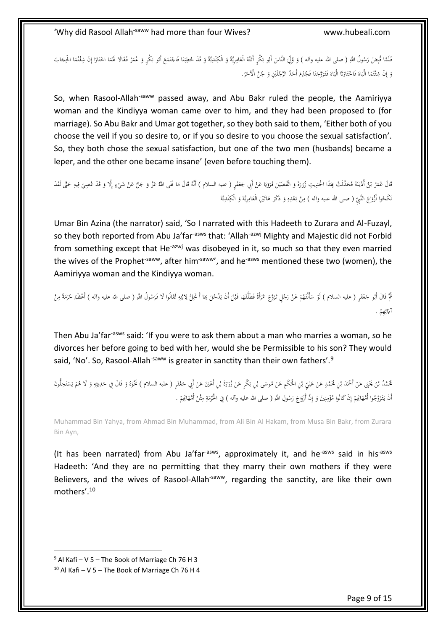َ فَلَمَّا فُبِضَ رَسُولُ اللَّهِ ( صلى الله عليه وآله ) وَ وُلِّيَ النَّاسَ أَبُو بَكْرٍ أَتَنْهُ الْعَامِرِيَّةُ وَ الْكِنْدِيَّةُ وَ قَدْ لحَطِبَتَا فَاجْتَمَعَ أَبُو بَكْرٍ أَتَنْهُ الْعَامِرِيَّةُ وَ الْكِنْدِيَّةُ وَ ق ∫<br>∕ َ ة<br>أ <u>َ</u> َ َ َ َ ِ ِ ٔ<br>ا  $\zeta$  $\ddot{\phantom{0}}$ í ْ َ ٔ. í .<br>. َ ي َّ َ ٍ<br>م م<br>م ْ ِ َ ٔ. í **ٔ** ٍ<br>م .<br>أ ٍ<br>م َ َ ب وَ إِنْ شِئْتُمَا الْبَاهَ فَاخْتَارَتَا الْبَاهَ فَتَزَوَّجَنَا فَجُذِمَ أَحَدُ الرَّجُلَيْنِ وَ جُنَّ الْآخَرُ. َ َ َ : í َ َ <u>:</u> َ َ َ <u>ا</u> <u>ٰ</u> : :ّ **ٔ** َ َ ٔ<br>ا َ ُ ٔ.<br>ا ِ إ ٔ.

So, when Rasool-Allah<sup>-saww</sup> passed away, and Abu Bakr ruled the people, the Aamiriyya woman and the Kindiyya woman came over to him, and they had been proposed to (for marriage). So Abu Bakr and Umar got together, so they both said to them, 'Either both of you choose the veil if you so desire to, or if you so desire to you choose the sexual satisfaction'. So, they both chose the sexual satisfaction, but one of the two men (husbands) became a leper, and the other one became insane' (even before touching them).

قَالَ عُمَرُ بْنُ أَذَيْنَةَ فَحَدَّثْتُ بَنَذَا الْحَدِيثِ زُرَارَةَ وَ الْفُضَيْلَ فَرَوَيَا عَنْ أَبِي جَعْفَرٍ ( عليه السلام ) أنَّهُ قَالَ مَا نَحَى اللَّهُ عَزَّ وَ جَلَّ عَنْ شَيْءٍ إِلَّا وَ قَدْ عُصِيَ فِيهِ حَتَّ .<br>م ْ َ ْ با َ َ ٍ<sup>ّ</sup> َ َ َ ي َ ٔ َ َ َ <u>َ</u> .<br>ا ب ٔ<br>ّ .<br>أ ا<br>ا َ ֡֡<sup>֓</sup> َ َ ِ ِ  $\ddot{\phantom{0}}$ َ إ ٍ ْكَحُوا أَزْوَاجَ النَّهِيِّ ( صلى الله عليه وآله ) مِنْ بَعْدِهِ وَ ذَكَرَ هَاتَيْنِ الْعَامِرِيَّةَ وَ الْكِنْدِيَّةَ  $\zeta$ ٔ. ن <u>:</u> ي َّ َ ∫<br>∕ َ ر<br>ا .<br>. َ ِ ٔ. ْ ∫,

Umar Bin Azina (the narrator) said, 'So I narrated with this Hadeeth to Zurara and Al-Fuzayl, so they both reported from Abu Ja'far<sup>-asws</sup> that: 'Allah<sup>-azwj</sup> Mighty and Majestic did not Forbid from something except that He<sup>-azwj</sup> was disobeyed in it, so much so that they even married the wives of the Prophet<sup>-saww</sup>, after him<sup>-saww</sup>', and he<sup>-asws</sup> mentioned these two (women), the Aamiriyya woman and the Kindiyya woman.

ٍ ) ئُمَّ قَالَ أَبُو جَعْفَرٍ ( عليه السلام ) لَوْ سَأَلْتَهُمْ عَنْ رَجُلٍ تَزَوَّجَ امْرَأَةً فَطَلَقَهَا قَبْلَ أَنْ يَدْلحَلَ يَمَا أَ تَحِلُّ يَنْ عَلَمَ عَلَى تَزَوَّجَ امْرَأَةً فَطَلَقَهَا قَبْلَ أَنْ يَدْلحَلَ يَمَا َ ٍ<sup>ّ</sup> **ٔ** <u>ً</u> َ َ ْ  $\zeta$ َ ْ ْ ُ<br>أ ْ َ ِ ِ َّ ْ ب ٔ<br>ا **ٔ** ِ  $\overline{\phantom{a}}$ <u>ّز</u> .<br>ن أَبَائِهِمْ . <sup>(</sup> ∫<br>¦ ئ َ

Then Abu Ja'far<sup>-asws</sup> said: 'If you were to ask them about a man who marries a woman, so he divorces her before going to bed with her, would she be Permissible to his son? They would said, 'No'. So, Rasool-Allah<sup>-saww</sup> is greater in sanctity than their own fathers'.<sup>9</sup>

مُحَمَّدُ بْنُ يَخْبَى عَنْ أَحْمَدَ بْنِ مُحَمَّدٍ عَنْ جَالِ حَمْنِ مُوسَى بْنِ بَكْرٍ عَنْ زُرَارَةَ بْنِ أَغْيَنَ عَنْ أَبِي جَعْفَوٍ ( عليه السلام ) نَخْوُهُ وَ قَالَ فِي حَدِيثِهِ وَ لَا هُمْ يَسْتَحِلُونَ **ٔ** ب <u>ة</u> َ َ ْ َ ْ ْ ٔ<br>ا ْ ِ َ ْ ْ ب **ـ** ْ َ ب .<br>م ْ َ ْ <u>ً</u> í **ـ** ي ْ َ ِ<br>ا ِ َ َ َ َ أَنْ يَتَزَوَّجُوا أُمَّهَاتِحِمْ إِنْ كَانُوا مُؤْمِنِينَ وَ إِنَّ أَزْوَاجَ رَسُولِ اللَّهِ ( صلى الله عليه وآله ) فِي الْحُرْمَةِ مِثْلُ أُمَّهَاتِحِمْ . َ َ <u>:</u> ؘ<br>ؘ َ ث ِ ِ َ ر<br>ا َ  $\zeta$ َ ِ إ َ ِ َّ ِ ْ ِ إ ْ

Muhammad Bin Yahya, from Ahmad Bin Muhammad, from Ali Bin Al Hakam, from Musa Bin Bakr, from Zurara Bin Ayn,

(It has been narrated) from Abu Ja'far<sup>-asws</sup>, approximately it, and he<sup>-asws</sup> said in his<sup>-asws</sup> Hadeeth: 'And they are no permitting that they marry their own mothers if they were Believers, and the wives of Rasool-Allah<sup>-saww</sup>, regarding the sanctity, are like their own mothers'.<sup>10</sup>

 $9$  Al Kafi – V 5 – The Book of Marriage Ch 76 H 3

 $10$  Al Kafi – V 5 – The Book of Marriage Ch 76 H 4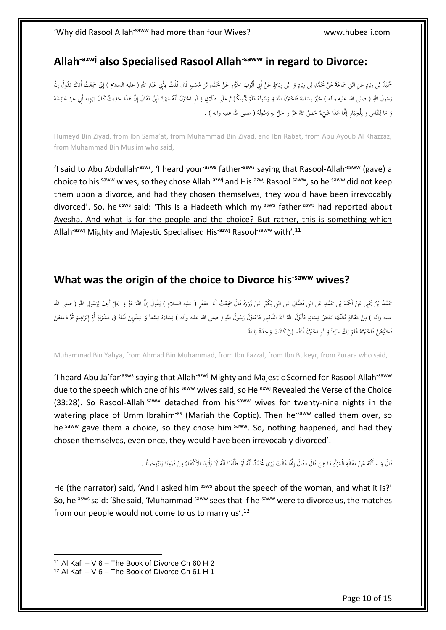#### <span id="page-9-0"></span>**Allah-azwj also Specialised Rasool Allah-saww in regard to Divorce:**

َ مُمّيْدُ بْنُ زِيَادٍ عَنِ ابْنِ سَمَاعَةَ عَنْ مُحَمَّدِ بْنِ زِيَادٍ وَ ابْنِ رِبَاطٍ عَنْ أَبِي أَيُّوبَ الْحُزَازِ عَنْ مُحَمَّدِ بْنِ مُسْلِمٍ فَالٍ أَيُّوبَ الْحَزَازِ عَنْ مُحَمَّدِ بْنِ مُسْلِمٍ فَالٍ إِلَّا مِنْ أ ْ َ ْ ٔ. **∶** با ْ ب ْ َ ٍ<br>ا ْ َ **∶** َ ب **:** ي َ لْ <u>ً</u> ِ **ـ ٔ** ب ِ ٔ<br>ا ِ **ٔ** ¦ٌ. رَسُولَ اللَّهِ ( صلى الله عليه وآله ) حَيَّرَ نِسَاءَهُ فَاحْتَرْنَ اللَّهَ وَ رَسُولَهُ فَلَمْ يُمْسِكْهُنَّ عَلَى طَلَاقٍ وَ لَوِ احْتَرْنَ أَنْفُسَهُنَّ لَبِنَّ فَقَالَ إِنَّ هَذَا حَدِيثٌ كَانَ يَرْوِيهِ أَبِي عَنْ عَ <u>َ</u>ّ لَ َ َ <sup>1</sup> .<br>أ <u>ّز</u> </sub>  $\ddot{\phantom{0}}$ َ َ  $\overline{a}$ ِ ن َ َ ِ<br>با َ **:** ِ<br>ٍ ر<br>ا َ ي َ َ ِ .<br>م ٔ وَ مَا لِلنَّاسِ وَ لِلْخِيَارِ إِنَّمَا هَذَا شَيْءٌ خَصَّ اللَّهُ عَزَّ وَ جَلَّ بِهِ رَسُولَهُ ( صلى الله عليه وآله ) . .<br>. لْ ا ل َ l .<br>ا ٔ.<br>. ْ <u>ّز</u> ِ ِ<br>با َ َ

Humeyd Bin Ziyad, from Ibn Sama'at, from Muhammad Bin Ziyad, and Ibn Rabat, from Abu Ayoub Al Khazzaz, from Muhammad Bin Muslim who said,

'I said to Abu Abdullah<sup>-asws</sup>, 'I heard your<sup>-asws</sup> father<sup>-asws</sup> saying that Rasool-Allah<sup>-saww</sup> (gave) a choice to his<sup>-saww</sup> wives, so they chose Allah<sup>-azwj</sup> and His<sup>-azwj</sup> Rasool<sup>-saww</sup>, so he<sup>-saww</sup> did not keep them upon a divorce, and had they chosen themselves, they would have been irrevocably divorced'. So, he<sup>-asws</sup> said: 'This is a Hadeeth which my<sup>-asws</sup> father<sup>-asws</sup> had reported about Ayesha. And what is for the people and the choice? But rather, this is something which Allah<sup>-azwj</sup> Mighty and Majestic Specialised His<sup>-azwj</sup> Rasool<sup>-saww</sup> with'.<sup>11</sup>

#### <span id="page-9-1"></span>**What was the origin of the choice to Divorce his-saww wives?**

ٔ<br>ا مُحَمَّدُ بْنُ يَخْبَى عَنْ أَحْمَدَ بْنِ مُحَمَّدٍ عَنِ ابْنِ الْبَنِ بُكَيْرٍ عَنْ زُرَارَةَ قَالَ سَمِعْتُ أبَا جَعْفَرٍ ( عليه السلام ) يَقُولُ إِنَّ اللَّهَ عَزَّ وَ جَلَّ أَنِفَ لِرَسُولِ اللَّهِ ( صلى الله با َ <u>َ</u>ّ َ ْ ْ ْ َ ْ َ ْ ب **ـ** ْ َ ب ِ َ .<br>م ْ َ ِ ِ َ َ ر<br>ر عليه وآله ) مِنْ مَقَالَةٍ قَالَتْهَا بَعْضُ نِسَائِهِ فَأَنْزَلَ اللَّهُ آيَةَ التَّحْيِيرِ فَاعْتَزَلَ رَسُولُ اللَّهِ ( صلى الله عليه وآله ) نِسَاءَهُ تِسْعاً وَ عِشْرِينَ لَيْلَةً فِي مَشْرَبَةِ أُمّ إِبْرَاهِيمَ ثُمَّ ُ<br>ن َ ٔ<br>ا اد<br>ا َ َ َ َ ِ ِ  $\ddot{\phantom{0}}$ ِ َ َ ; .<br>أ ا<br>ا ْ ِ ِ ت َ  $\ddot{\phantom{0}}$ ِ ا ₽, َ **ٔ** إ ِ ä ا ب َ  $\overline{a}$ <u>:</u> **ٔ** َ َ **ٔ**  $\ddot{\phantom{a}}$ فَخَيَّرَهُنَّ فَاخْتَرْنَهُ فَلَمْ يَكُ شَيْئاً وَ لَوِ اخْتَرْنَ أَنْفُسَهُنَّ كَانَتْ وَاحِدَةً بَائِنَةً ن<br>ا </sub>: ِ ئ َ َ َ  $\ddot{\phantom{0}}$ لَ **ٔ** :<br>: ي ْ َ ن َ **ٔ** َ

Muhammad Bin Yahya, from Ahmad Bin Muhammad, from Ibn Fazzal, from Ibn Bukeyr, from Zurara who said,

'I heard Abu Ja'far<sup>-asws</sup> saying that Allah<sup>-azwj</sup> Mighty and Majestic Scorned for Rasool-Allah<sup>-saww</sup> due to the speech which one of his<sup>-saww</sup> wives said, so He<sup>-azwj</sup> Revealed the Verse of the Choice (33:28). So Rasool-Allah<sup>-saww</sup> detached from his<sup>-saww</sup> wives for twenty-nine nights in the watering place of Umm Ibrahim<sup>-as</sup> (Mariah the Coptic). Then he<sup>-saww</sup> called them over, so he<sup>-saww</sup> gave them a choice, so they chose him<sup>-saww</sup>. So, nothing happened, and had they chosen themselves, even once, they would have been irrevocably divorced'.

> َ قَالَ وَ سَأَلْتُهُ عَنْ مَقَالَةِ الْمَرْأَةِ مَا هِيَ قَالَ فَقَالَ إِنَّمَا قَالَتْ يَرَى مُحَمَّدٌ أَنَّهُ لَوْ طَلَّقْنَا أَنَّهُ لَا يَأْتِينَا الْأَكْفَاهُ مِنْ قَوْمِنَا يَتَزَوَجُونَا . ن<br>نا ٔ<br>ا <u>َّ</u> .<br>أ <u>ٔ</u> ٔ. <u>:</u> .<br>أ  $\ddot{\phantom{0}}$ ِ َ ِ .<br>ا  $\overline{a}$ ِ .<br>أ ا<br>ا ْ  $\ddot{\phantom{0}}$ .<br>ا </sub>: **∕** </sub> ْ **∕** .<br>م .<br>ا ِ با<br>ا

He (the narrator) said, 'And I asked him<sup>-asws</sup> about the speech of the woman, and what it is?' So, he<sup>-asws</sup> said: 'She said, 'Muhammad<sup>-saww</sup> sees that if he<sup>-saww</sup> were to divorce us, the matches from our people would not come to us to marry us'.<sup>12</sup>

 $11$  Al Kafi – V 6 – The Book of Divorce Ch 60 H 2

 $12$  Al Kafi – V 6 – The Book of Divorce Ch 61 H 1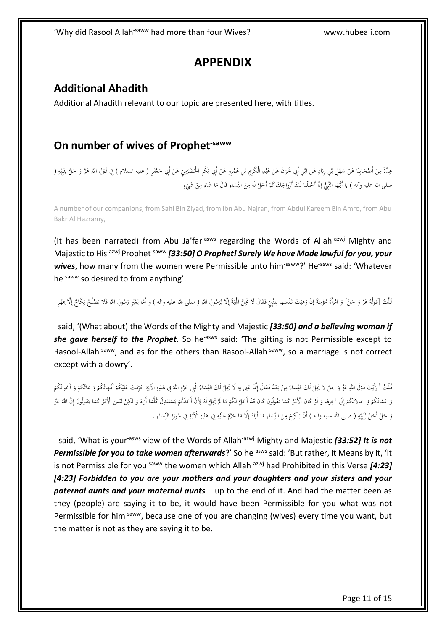# **APPENDIX**

#### <span id="page-10-1"></span><span id="page-10-0"></span>**Additional Ahadith**

Additional Ahadith relevant to our topic are presented here, with titles.

#### <span id="page-10-2"></span>**On number of wives of Prophet-saww**

عِدَّةٌ مِنْ أَصْحَابِنَا عَنْ سَهْلِ بْنِ زِيَادٍ عَنِ ابْنِ أَبِي نَجْرَانَ عَنْ عَبْدِ الْكَرِيم بْنِ عَمْرٍو عَنْ أَبِي بَكْرٍ الْحَضْرَمِيِّ عَنْ أَبِي بَكْرِ الْحَضْرَمِيِّ عَنْ أَبِي بَحْرٍ الْحَضْرَمِيِّ عَنْ أَبِي َ ْ ْ **ٔ** .<br>. ٍ<br>ب َ ْ ا َ ْ َ .<br>; َ ْ ْ  $\ddot{\phantom{0}}$ ٔ<br>ا <u>َ</u> ِ َ ْ ∫<br>∕ .<br>أ ْ َ ْ **∕** َ ِ ِ ي ِ ِ .<br>ا :<br>أ ِ َ ْ صلى الله عليه وآله ) يا أَيُّهَا النَّبِيُّ إِنَّا أَحْلَلْنا لَكَ أَزْواجَكَ كَمْ أَحَلَّ لَهُ مِنَ النِّسَاءِ قَالَ مَا شَاءَ مِنْ شَيْءٍ ْ ∫<br>∕ َ َ <u>ً</u> ِ  $\overline{a}$ ِ َ ∫, <sup>(</sup> ْ ِ إ َ **ٍ** 

A number of our companions, from Sahl Bin Ziyad, from Ibn Abu Najran, from Abdul Kareem Bin Amro, from Abu Bakr Al Hazramy,

(It has been narrated) from Abu Ja'far<sup>-asws</sup> regarding the Words of Allah<sup>-azwj</sup> Mighty and Majestic to His-azwj Prophet-saww *[33:50] O Prophet! Surely We have Made lawful for you, your*  wives, how many from the women were Permissible unto him<sup>-saww</sup>?' He<sup>-asws</sup> said: 'Whatever he-saww so desired to from anything'.

قُلْتُ [قَوْلُهُ عَزَّ وَ جَلَّ] وَ امْرَأَةً مُؤْمِنَةً إِنْ وَهَبَتْ نَفْسَها لِلنَّبِيِّ فَقَالَ لَا تَحِلُّ الْهِبَةُ إِلَّا لِرَسُولِ اللَّهِ (صلى الله عليه وآله ) وَ أَمَّا لِغَيْرِ رَسُولِ اللَّهِ فَلا كَمَ بَهْرٍ إ .<br>ا ِ ِ .<br>أ ِ  $\overline{a}$ ِ ٔ<br>ا َ ِ إ  $\ddot{\cdot}$ ن<br>ا :<br>أ ِ ْ َ .<br>ا </sub> َ <u>ٔ</u> لْ َ ¦ ً<br>ن ْ ِ َ ْ ِ إ ِ ن<br>با

I said, '(What about) the Words of the Mighty and Majestic *[33:50] and a believing woman if*  she gave herself to the Prophet. So he<sup>-asws</sup> said: 'The gifting is not Permissible except to Rasool-Allah<sup>-saww</sup>, and as for the others than Rasool-Allah<sup>-saww</sup>, so a marriage is not correct except with a dowry'.

قُلْتُ أَ رَأَيْتَ قَوْلَ اللَّهِ عَزَّ وَ جَلَّ لا يَجِلُّ لَكَ النِّساءُ مِنْ بَعْدُ فَقَالَ إِنَّمَا عَنَى بِهِ لَا يُجَلُّ لَكَ النِّسَاءُ لِلَّهِ الَّتِي جَمَّ لَقَالَ إِنَّمَا عَنَى بِهِ لَا يُجَلُّ لَكَ النِّسَاءُ م ِ ِ<br>با ب َ .<br>أ ا<br>ا ∫<br>∕ ِ َ <u>ٔ</u> <u>ٰ</u> لْ َ َ  $\overline{a}$ ِ ِ َ ْ َ َ ْ َ ب َ <sup> $\mathbf$ </sup> <sup>1</sup> **ٔ** َ <u>ہ</u> َ ي وَ عَمَّاتُكُمْ وَ خالاتُكُمْ إِلَى آخِرِهَا وَ لَوْ كَانَ الْأَمْرُ كَمَا تَقُولُونَ كَانَ فَدْ أَحَلَ لَكُمْ مَا لَمْ يُحِلَّ لَكُمْ مَا لَمْ يُحِلَّ لَكُمْ مَا لَمْ يُحِلَّ لَكُمْ مَا لَمْ يُحِلَّ لَكُمْ مَا لَمْ يُحِلَ **أ** ا<br>ا ْ َ .<br>ا <u>ٔ</u> ٔ.<br>. ٔ<br>ا ِ إ ْ ْ ٔ.<br>. ٔ. َ ٍ<br>م .<br>. ; ٔ<br>ا ا<br>ا ي ْ َ َ َ َ ِ ٔ<br>ا ا<br>ا <u>َ</u> **ٔ** وَ جَلَّ أَحَلَّ لِنَبِيِّهِ ( صلى الله عليه وآله ) أَنْ يَنْكِحَ مِنَ النِّسَاءِ مَا أَرَادَ إِلَّا مَا حَرَّمَ عَلَيْهِ فِي هَذِهِ الْآيَةِ فِي سُورَةِ النِّسَاءِ . ِ **ٔ** َ َ َ ا<br>ا إ ا<br>ا َ ا<br>ا ِ  $\overline{a}$ ِ َ **∕**  $\zeta$ َّ .<br>ا ِ į. ي ِ ِ نې<br>آ :<br>أ ِ ِ  $\overline{a}$ :<br>نا َ ِ يا<br>. ِ ٔ<br>م

I said, 'What is your<sup>-asws</sup> view of the Words of Allah<sup>-azwj</sup> Mighty and Majestic [33:52] It is not Permissible for you to take women afterwards?' So he<sup>-asws</sup> said: 'But rather, it Means by it, 'It is not Permissible for you<sup>-saww</sup> the women which Allah<sup>-azwj</sup> had Prohibited in this Verse **[4:23]** *[4:23] Forbidden to you are your mothers and your daughters and your sisters and your paternal aunts and your maternal aunts* – up to the end of it. And had the matter been as they (people) are saying it to be, it would have been Permissible for you what was not Permissible for him<sup>-saww</sup>, because one of you are changing (wives) every time you want, but the matter is not as they are saying it to be.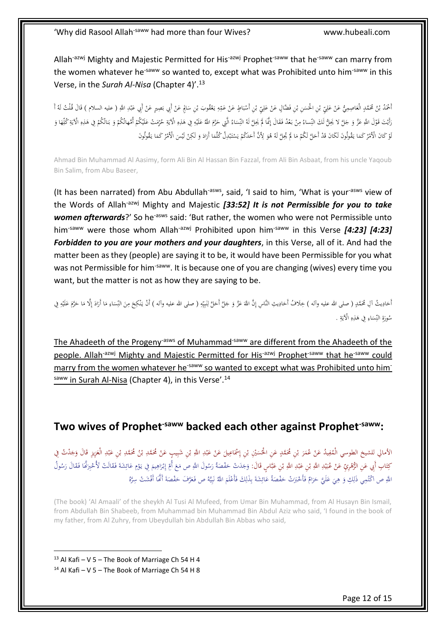Allah<sup>-azwj</sup> Mighty and Majestic Permitted for His<sup>-azwj</sup> Prophet<sup>-saww</sup> that he<sup>-saww</sup> can marry from the women whatever he<sup>-saww</sup> so wanted to, except what was Prohibited unto him<sup>-saww</sup> in this Verse, in the *Surah Al-Nisa* (Chapter 4)'.<sup>13</sup>

ْ أَحْمَدُ بْنُ مُحَمَّدٍ الْعَاصِمِيُّ عَنْ عَلِيِّ بْنِ الْحَسَنِ بْنِ فَضَّالٍ عَنْ عَلِيِّ بْنِ أَسْبَاطٍ عَنْ عَمِّهِ يَعْقُوبَ بْنِ سَالِمٍ عَنْ عَلِيِّ بْنِ أَسْبَاطٍ عَنْ عَمِّهِ يَعْقُوبَ بْنِ سَالِمٍ عَنْ عَلِيَتِ َ ِم ِ ْ  $\ddot{\phantom{0}}$ ِ **ٔ** ْ ِ َ ْ ْ  $\overline{a}$ ْ ِ َ ْ َ ب ْ َ .<br>. ِ َ لْ َ **ٔ** ; </sub> ْ رَأَيْتَ قَوْلَ اللَّهِ عَزَّ وَ جَلَّ لا يَحِلُّ لَكَ النِّساءُ مِنْ بَعْدُ فَقَالَ إِمَّا لَمْ يَحِلَّ لَهُ النِّسَاءُ الَّتِي حَرَّمَ اللَّهِ عَلَيْهِ فِي قَالَ إِمَّا لَمْ يَحِلَّ لَهُ النِّسَاءُ الَّتِي خُلَقَا وَ يَح  $\ddot{\phantom{0}}$ ِ  $\overline{a}$ .<br>أ ً ْ ِ ِ َ <u>ٔ</u> َ ٔ ِ **ٔ** َ َ َ َ َ ِ ä ِيا<br>ا ِ َ ْ َ ب َ ْ ْ .<br>. َ ِ ِيا<br>ـ ِ لَوْ كَانَ الْأَمْرُ كَمَا يَقُولُونَ لَكَانَ قَدْ أَحَلَّ لَكُمْ مَا لَمْ يُحِلَّ لَهُ هُوَ لِأَنَّ أَحَدَكُمْ يَسْتَبْدِلُ كُلَّمَا أَرَادَ وَ لَكِنْ لَيْسَ الْأَمْرُ كَمَا يَقُولُونَ .<br>أ ¦∙ ٔ<br>ا ا<br>ا ي ْ َ َ  $\overline{a}$ َ ْ َ .<br>ا <u>ٔ</u> .<br>-ْ َ َ َ  $\overline{a}$ ْ ٔ.

Ahmad Bin Muhammad Al Aasimy, form Ali Bin Al Hassan Bin Fazzal, from Ali Bin Asbaat, from his uncle Yaqoub Bin Salim, from Abu Baseer,

(It has been narrated) from Abu Abdullah<sup>-asws</sup>, said, 'I said to him, 'What is your<sup>-asws</sup> view of the Words of Allah-azwj Mighty and Majestic *[33:52] It is not Permissible for you to take women afterwards*?' So he<sup>-asws</sup> said: 'But rather, the women who were not Permissible unto him<sup>-saww</sup> were those whom Allah<sup>-azwj</sup> Prohibited upon him<sup>-saww</sup> in this Verse [4:23] [4:23] *Forbidden to you are your mothers and your daughters*, in this Verse, all of it. And had the matter been as they (people) are saying it to be, it would have been Permissible for you what was not Permissible for him<sup>-saww</sup>. It is because one of you are changing (wives) every time you want, but the matter is not as how they are saying to be.

ِ أخادِيثُ آلِ مُحَمَّدٍ (صلى الله عليه وآله ) خِلافُ أَخادِيثِ النَّاسِ إِنَّ اللَّهَ عَزَّ وَ جَلَّ أَحَلَّ لِنَبِيِّهِ (<br>شورةِ النِّسَاءِ فِي هَذِهِ الْآيةِ .<br>شورةِ النِّسَاءِ فِي هَذِهِ الْآيةِ . ِ ي ِ ِ نې<br>آ :<br>أ ِ َ َ ِ ي ∫, َ ي ∫, َ ِ **ٔ** َ م َ  $\overline{a}$ إ ٔ.<br>. َ  $\overline{\phantom{a}}$ ِ  $\ddot{\phantom{0}}$ ِ .<br>ا ∕. َ َّ َ ِ مُورَةِ النِّسَاءِ فِي هَذِهِ الْآيَةِ<br>ّ یا<br>ا ِ ٔ ِ  $\ddot{\phantom{0}}$ ِ َ

The Ahadeeth of the Progeny-asws of Muhammad-saww are different from the Ahadeeth of the people. Allah<sup>-azwj</sup> Mighty and Majestic Permitted for His<sup>-azwj</sup> Prophet<sup>-saww</sup> that he<sup>-saww</sup> could marry from the women whatever he<sup>-saww</sup> so wanted to except what was Prohibited unto himsaww in Surah Al-Nisa (Chapter 4), in this Verse'.<sup>14</sup>

#### <span id="page-11-0"></span>**Two wives of Prophet-saww backed each other against Prophet-saww:**

الأمالي للشيخ الطوسي الْمُفِيدُ عَنْ عُمَرَ بْنِ مُحَمَّدٍ عَنِ الْخُسَيْنِ بْنِ إِسْمَاعِيلَ عَنْ عَبْدِ اللَّهِ بْنِ شَبِيبٍ عَنْ مُحَمَّدِ بْنِ عَبْدِ الْعَزِيزِ قَالَ وَجَدْتُ فِي<br>. ِ ْ ب .<br>أ ِ َ **ٔ** ٍ ) َ **∣** ْ ب َ ْ ب َ ام<br>ا ْ ِ َ َ َ **ٔ** ِ َ ْ ب ب كِتَابِ أَبِي عَنِ الزُّهْرِيِّ عَنْ عُبَيْدِ اللَّهِ بْنِ عَبْدِ اللَّهِ بْنِ عَبَّاسٍ قَالَ: وَجَدَتْ حَفْصَةُ رَسُولَ اللَّهِ ص مَعَ أُمِّ إِبْرَاهِيمَ فِي يَوْمِ عَائِشَةَ فَقَالَتْ لَأُخْبِرَكَهَا فَقَالَ رَسُولُ ْ ب **ٔ** ي ا<br>ا ِ ْ ا<br>ا َ : :ّ ِ َ ْ ب .<br>أ ِ َ اُ ِ ر<br>. .<br>ا ِ إ ِ  $\zeta$ ام<br>أ <u>َ</u>ّ ا<br>ا َ َ ا<br>ا .<br>أ َ **ٔ** .<br>م <u>ة</u> ِ<br>ئ َ ِ ،<br>' ٔ, اللَّهِ ص اكْتُمِي ذَلِكِ وَ هِيَ عَلَيَّ حَرَامٌ فَأَخْبَرَتْ حَفْصَةُ عَائِشَةَ بِذَلِكَ فَأَعْلَمَ اللَّهُ نَبِيَّهُ ص فَعَرَّفَ حَفْصَةَ أَنَّمَا أَفْشَتْ سِرَّهُ ن<br>أ ِ ِ ب <u>ة</u> ِ<br>ئ </sub>  $\ddot{\phantom{0}}$ َ ن<br>ا َ َ َ َ ِ ا<br>ا <u>ً</u> ا<br>ا َ َ ي ِ ِ ڹ<br>: ن **ا** ا<br>ا <u>ٔ</u>

(The book) 'Al Amaali' of the sheykh Al Tusi Al Mufeed, from Umar Bin Muhammad, from Al Husayn Bin Ismail, from Abdullah Bin Shabeeb, from Muhammad bin Muhammad Bin Abdul Aziz who said, 'I found in the book of my father, from Al Zuhry, from Ubeydullah bin Abdullah Bin Abbas who said,

 $13$  Al Kafi – V 5 – The Book of Marriage Ch 54 H 4  $14$  Al Kafi – V 5 – The Book of Marriage Ch 54 H 8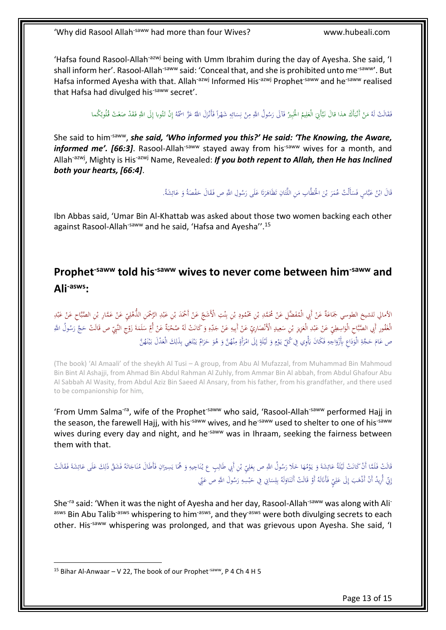'Hafsa found Rasool-Allah-azwj being with Umm Ibrahim during the day of Ayesha. She said, 'I shall inform her'. Rasool-Allah<sup>-saww</sup> said: 'Conceal that, and she is prohibited unto me<sup>-saww</sup>'. But Hafsa informed Avesha with that. Allah<sup>-azwj</sup> Informed His<sup>-azwj</sup> Prophet<sup>-saww</sup> and he<sup>-saww</sup> realised that Hafsa had divulged his-saww secret'.

> فَقَالَتْ لَهُ مَنْ أَنْبَأَكَ هذا قالَ نَبَأَيْنَ الْعَلِيمُ الْخَبِيرُ فَآلَى رَسُولُ اللَّهِ مِنْ نِسَائِهِ شَهْراً فَأَنْزَلَ اللَّهُ عَزَّ اسْمُهُ إِنْ تَتُوبا إِلَى اللَّهِ فَقَدْ صَغَتْ قُلُوبُكُما َ ا<br>ا ِ ْ ْ َ ِ ِ َ ا<br>ا ِ <u>با</u> َ َ ِ<br>ا ا<br>ا ْ ِ ِ ٔ<br>ا ِ ن ْ ∫<br>∕ َ ا<br>ا ِ ا<br>أ ِّ ِ إ

She said to him-saww, *she said, 'Who informed you this?' He said: 'The Knowing, the Aware,*  informed me'. [66:3]. Rasool-Allah<sup>-saww</sup> stayed away from his<sup>-saww</sup> wives for a month, and Allah<sup>-azwj</sup>, Mighty is His<sup>-azwj</sup> Name, Revealed: *If you both repent to Allah, then He has Inclined both your hearts, [66:4]*.

> نَالَ ابْنُ عَبَّاسٍ فَسَأَلْتُ عُمَرَ بْنَ الْخَطَّابِ مَنِ اللَّتَانِ تَظَاهَرَتَا عَلَى رَسُولِ اللَّهِ ص فَقَالَ حَفْصَةُ وَ عَائِشَةُ. ِ َ َ ِ<br>ئ َ َ ا<br>ا َ .<br>أ َ َ َ ٔ<br>ا ت <u>ً</u> ∫<br>∫ َ َ ب َ ا<br>ا  $\overline{a}$

Ibn Abbas said, 'Umar Bin Al-Khattab was asked about those two women backing each other against Rasool-Allah<sup>-saww</sup> and he said, 'Hafsa and Ayesha''.<sup>15</sup>

<span id="page-12-0"></span>**Prophet-saww told his-saww wives to never come between him-saww and Ali-asws:**

الأمالي للشيخ الطوسي جَمَاعَةٌ عَنْ أَبِي الْمُفَضَّلِ عَنْ مُحَمَّدِ بْنِ غِنْمُودِ بْنِ بِنْتِ الْأَشَجِّ عَنْ أَحْمَدَ بْنِ عَبْدِ الرَّحْمَنِ الذُّهْلِيِّ عَنْ عَبْدِ عَنْ عَبْدِ<br>مُصْلِفِيلِ الشيخ الطوسي جَمَاعَةٌ عَن ْ ب ا<br>ا ْ ا<br>ا َّ ِ ْ ب **∶** ْ ب َ ْ َ .<br>أ ِ َ **ٔ** ِ <u>ا</u> **ٔ** ِ َ ْ **ٔ** الْغَفُورِ أَبِي الصَّبَاحِ الْوَاسِطِيِّ عَنْ عَبْدِ الْعَزِيزِ بْنِ سَعِيدٍ الْأَنْصَارِيِّ عَنْ أَبِيهِ عَنْ جَلِّهِ وَكَانَتْ لَهُ صُحْبَةٌ عَنْ أُمِّ سَلَمَةَ زَوْجِ النَّبِيِّ ص قَالَتْ حَجَّ رَسُولُ اللَّهِ َ ِ ِ ِ ْ  $\overline{\phantom{a}}$ ِ ا<br>ا ْ َ .<br>. ِ َ ْ َ ا<br>ا ِ **ٔ** َ ْ ٍ<br>م ٔ<br>ا ْ .<br>ا َ ص عَامَ حَجَّةِ الْوَدَاعِ بِأَزْوَاجِهِ فَكَانَ يَأْوِي فِي كُلِّ يَوْمٍ وَ لَيْلَةٍ إِلَى امْرَأَةٍ مِنْهُنَّ وَ هُوَ حَرَامٌ يَبْتَغِي بِذَلِكَ الْعَدْلَ بَيْنَهُنَّ َ </sub> َ َّ ∫ <u>;</u> َ ابل<br>ا ِ إ <sub>2</sub> **ٔ** </sub> **ृ** <u>ٔ</u> ا<br>ا پا<br>ا ِ َ ا<br>ا ؙ<sup>ؚ</sup> ; َ َ َ ِ ِ ِ َ í ْ ِ ٔ, ∶ُ **ٔ** ي ا<br>ا

(The book) 'Al Amaali' of the sheykh Al Tusi – A group, from Abu Al Mufazzal, from Muhammad Bin Mahmoud Bin Bint Al Ashajji, from Ahmad Bin Abdul Rahman Al Zuhly, from Ammar Bin Al abbah, from Abdul Ghafour Abu Al Sabbah Al Wasity, from Abdul Aziz Bin Saeed Al Ansary, from his father, from his grandfather, and there used to be companionship for him,

'From Umm Salma<sup>-ra</sup>, wife of the Prophet<sup>-saww</sup> who said, 'Rasool-Allah<sup>-saww</sup> performed Hajj in the season, the farewell Hajj, with his<sup>-saww</sup> wives, and he<sup>-saww</sup> used to shelter to one of his<sup>-saww</sup> wives during every day and night, and he<sup>-saww</sup> was in Ihraam, seeking the fairness between them with that.

ي قَالَتْ فَلَمَّا أَنْ كَانَتْ لَيْلَةُ عَائِشَةَ وَ يَوْمُهَا خَلَا رَسُولُ اللَّهِ ص بِعَلِيِّ بْنِ أَبِي طَالِبٍ ع يُنَاجِيهِ وَ هُمَا يَسِيرَانِ فَأَطَالَ مُنَاجَاتَهُ فَشَقَّ ذَلِكَ عَلَى عَائِشَةَ فَقَالَتْ<br>---------ٔ<br>ا ∶ُ ْ ِ َ ∫ ُلُّ<br>ا َ َ <u>ا</u> با<br>ا ا<br>ا ِ َ **ٔ** َ َ ا<br>ا ا<br>ا َ ِ َ ا<br>ا ∶ُ ٍ<br>ا .<br>أ ِ<br>ئ َ َ ِ َ إِنِّي أُرِيدُ أَنْ أَذْهَبَ إِلَى عَلِيِّ فَأَنَالَهُ أَوْ قَالَتْ أَتَنَاوَلَهُ بِلِسَانِي فِي حَبْسِهِ رَسُولَ اللَّهِ ص عَنِّي ُّ ِ ِ َ ٔ<br>ا ِ ِ ب َ ٔ<br>ا <u>َّ</u> ِّ <u>ز</u> <u>ٔ</u> ا<br>نا <u>َ</u> ِ َ ِ إ َ

She<sup>-ra</sup> said: 'When it was the night of Ayesha and her day, Rasool-Allah<sup>-saww</sup> was along with Ali<sup>-</sup> asws Bin Abu Talib<sup>-asws</sup> whispering to him<sup>-asws</sup>, and they<sup>-asws</sup> were both divulging secrets to each other. His<sup>-saww</sup> whispering was prolonged, and that was grievous upon Ayesha. She said, 'I

<sup>&</sup>lt;sup>15</sup> Bihar Al-Anwaar – V 22, The book of our Prophet<sup>-saww</sup>, P 4 Ch 4 H 5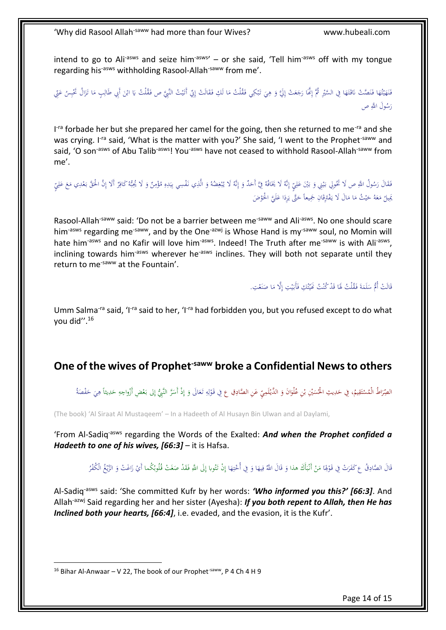intend to go to Ali<sup>-asws</sup> and seize him<sup>-asws</sup>' – or she said, 'Tell him<sup>-asws</sup> off with my tongue regarding his<sup>-asws</sup> withholding Rasool-Allah<sup>-saww</sup> from me'.

فَنَهَيْتُهَا فَنَصَّتْ نَاقَتَهَا فِي السَّيْرِ ثُمَّ إِنَّمَا رَجَعَتْ إِلَيَّ وَ هِيَ تَبْكِي فَقُلْتُ مَا لَكِ فَقَالَتْ إِنِّي أَتَيْتُ النَّبِيَّ ص فَقُلْتُ يَا ابْنَ أَبِي طَالِبٍ مَا تَزَالُ تَحْسِنُ عَنِّي َ ام<br>ا لْ ِ َ َ ِ َ ِ َ ∫<br>J ْ َ ∫<br>∫ <u>ا</u> <u>ا</u> <u>َّ</u> <u>ا</u> َ ُ ْ ي َ َّ <u>ا</u> **ٔ** ي َ ِ إ ِ ِ َ ِ َ ِيا<br>ا لْ رَسُولَ اللَّهِ ص َ

I<sup>-ra</sup> forbade her but she prepared her camel for the going, then she returned to me<sup>-ra</sup> and she was crying. I<sup>-ra</sup> said, 'What is the matter with you?' She said, 'I went to the Prophet<sup>-saww</sup> and said, 'O son<sup>-asws</sup> of Abu Talib<sup>-asws</sup>! You<sup>-asws</sup> have not ceased to withhold Rasool-Allah<sup>-saww</sup> from me'.

فَقَالَ رَسُولُ اللَّهِ ص لَا تَخُولِي بَيْنِي وَ بَيْنَ عَلِيٍّ إِنَّهُ لَا يَخَافُهُ فِيَّ أَحَدٌ وَ إِنَّهُ لَا يُبْغِضُهُ وَ الَّذِي نَفْسِي بِيَدِهِ مُؤْمِنٌ وَ لَا يُجُبُّهُ كَافِرٌ أَلَا إِنَّ الْحَقَّ بَعْدِي مَعَ ِ .<br>أ ِ ا إ َ َ ِ ِ َ ب </sub> **ٔ** ي ا<br>ا َ ُ، َ ِ َ َ م<br>أ َ ِ ِ ِ َ ِ <u>ا</u> ِ ا<br>ا ي ِ بَيلُ مَعَهُ حَيْثُ مَا مَالَ لَا يَفْتَرِقَانِ جَمِيعاً حَتَّى يَرِدَا عَلَيَّ الْحَوْضَ<br>\* َ َ َ ير<br>أ َ ن<br>ا ِ فق<br>أ َ ا<br>ا ي َ َ ا<br>ا ِ<br>ب َ

Rasool-Allah<sup>-saww</sup> said: 'Do not be a barrier between me<sup>-saww</sup> and Ali<sup>-asws</sup>. No one should scare him<sup>-asws</sup> regarding me<sup>-saww</sup>, and by the One<sup>-azwj</sup> is Whose Hand is my<sup>-saww</sup> soul, no Momin will hate him<sup>-asws</sup> and no Kafir will love him<sup>-asws</sup>. Indeed! The Truth after me<sup>-saww</sup> is with Ali<sup>-asws</sup>, inclining towards him<sup>-asws</sup> wherever he<sup>-asws</sup> inclines. They will both not separate until they return to me<sup>-saww</sup> at the Fountain'.

> فَالَتْ أُمُّ سَلَمَةَ فَقُلْتُ لَهَا قَدْ كُنْتُ كَيْتُكِ فَأَبَيْتِ إِلَّا مَا صَنَعْتِ. **ٔ** <u>َّ</u>  $\ddot{\phantom{0}}$ َ **ٔ** ي ا<br>ا َ ر<br>ن .<br>: ي <u>َ</u>  $\overline{a}$ لْ <u>َ</u> َ ا<br>ا َ

Umm Salma<sup>-ra</sup> said, 'I<sup>-ra</sup> said to her, 'I<sup>-ra</sup> had forbidden you, but you refused except to do what you did''.<sup>16</sup>

### <span id="page-13-0"></span>**One of the wives of Prophet-saww broke a Confidential News to others**

الصِّرَاطُ الْمُسْتَقِيمُ، فِي حَدِيثِ الْحُسَيْنِ بْنِ عُلْوَانَ وَ الدَّيْلَمِيِّ عَنِ الصَّادِقِ ع فِي قَوْلِهِ تَعَالَى وَ إِذْ أَسَرَّ النَّبِيُّ إِلى بَعْضِ أَزْواجِهِ حَدِيثاً هِيَ حَفْصَةُ َ **ٔ** َ ا َ ْ ب ي َ ِ انا<br>ا í. ا<br>ا َ ِ َ ِ J ل ،<br>' ٔ<br>أ ِ إ َ ا<br>ا َ ِ **ٔ** ا<br>ا ا<br>ا َ َ ِ

(The book) 'Al Siraat Al Mustaqeem' – In a Hadeeth of Al Husayn Bin Ulwan and al Daylami,

'From Al-Sadiq-asws regarding the Words of the Exalted: *And when the Prophet confided a Hadeeth to one of his wives, [66:3]* – it is Hafsa.

> قَالَ الصَّادِقُ عِ كَفَرَتْ فِي قَوْلِهَا مَنْ أَنْبَأَكَ هذا وَ قَالَ اللَّهُ فِيهَا وَ فِي أُحْتِهَا إِذْ تَتُوبا إِلَى اللَّهِ فَقَدْ صَغَتْ قُلُوبُكُما أَيْ زَاغَتْ وَ الزَّنِعُ الْكُفْرُ َ ِ <u>ٔ</u> َ ∫, َ ا<br>ا ِ ْ ا<br>ا َ ∫<br>} ُ **ٔ** َ َ ِ<br>في ن<br>أ َ  $\ddot{\phantom{0}}$ ِ ُ <u>َ</u> ِ <u>ّ</u> َ ا َ ْ

Al-Sadiq-asws said: 'She committed Kufr by her words: *'Who informed you this?' [66:3]*. And Allah<sup>-azwj</sup> Said regarding her and her sister (Ayesha): *If you both repent to Allah, then He has Inclined both your hearts, [66:4]*, i.e. evaded, and the evasion, it is the Kufr'.

 $16$  Bihar Al-Anwaar – V 22, The book of our Prophet<sup>-saww</sup>, P 4 Ch 4 H 9